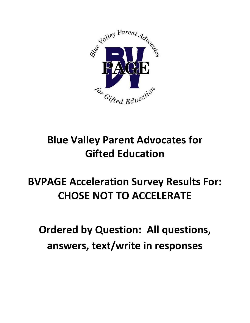

# **Blue Valley Parent Advocates for Gifted Education**

# **BVPAGE Acceleration Survey Results For: CHOSE NOT TO ACCELERATE**

**Ordered by Question: All questions, answers, text/write in responses**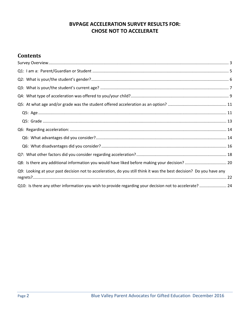# **BVPAGE ACCELERATION SURVEY RESULTS FOR: CHOSE NOT TO ACCELERATE**

# **Contents**

| Q8: Is there any additional information you would have liked before making your decision?  20                       |  |
|---------------------------------------------------------------------------------------------------------------------|--|
| Q9: Looking at your past decision not to acceleration, do you still think it was the best decision? Do you have any |  |
|                                                                                                                     |  |
| Q10: Is there any other information you wish to provide regarding your decision not to accelerate?  24              |  |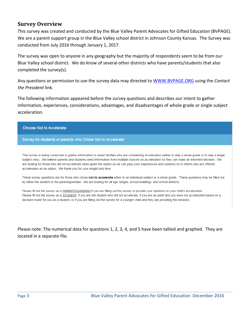# <span id="page-2-0"></span>**Survey Overview**

This survey was created and conducted by the Blue Valley Parent Advocates for Gifted Education (BVPAGE). We are a parent support group in the Blue Valley school district in Johnson County Kansas. The Survey was conducted from July 2016 through January 1, 2017.

The survey was open to anyone in any geography but the majority of respondents seem to be from our Blue Valley school district. We do know of several other districts who have parents/students that also completed the survey(s).

Any questions or permission to use the survey data may directed to [WWW.BVPAGE.ORG](http://www.bvpage.org/) using the *Contact the President* link.

The following information appeared before the survey questions and describes our intent to gather information, experiences, considerations, advantages, and disadvantages of whole grade or single subject acceleration.

#### **Choose Not to Accelerate**

#### Survey for students or parents who Chose Not to Accelerate

This survey is being conducted to gather information to assist families who are considering acceleration (either to skip a whole grade or to skip a single subject only). We believe parents and students need information from multiple sources on acceleration so they can make an informed decision. We are looking for those who did not accelerate when given the option so we can pass your experiences and opinions on to others who are offered acceleration as an option. We thank you for your insight and time.

These survey questions are for those who chose not to accelerate either in an individual subject or a whole grade. These questions may be filled out by either the student or the parent/guardian. We are looking for all age ranges, school buildings, and school districts.

Please fill out the survey as a PARENT/GUARDIAN if you are filling out the survey to provide your opinions on your child's acceleration. Please fill out the survey as a STUDENT, if you are the student who did not accelerate, if you are an adult and you were not accelerated based on a decision made for you as a student, or if you are filling out the survey for a younger child and they are providing the answers.

Please note: The numerical data for questions 1, 2, 3, 4, and 5 have been tallied and graphed. They are located in a separate file.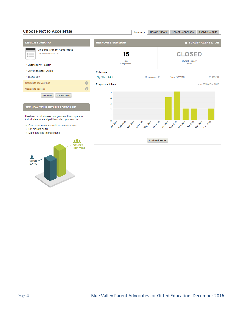#### **Choose Not to Accelerate**



**DATA**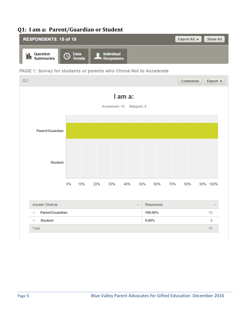# <span id="page-4-0"></span>**Q1: I am a: Parent/Guardian or Student**





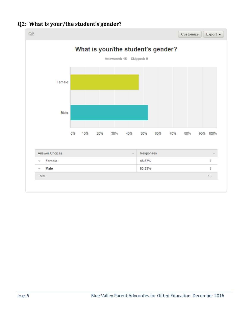

# <span id="page-5-0"></span>**Q2: What is your/the student's gender?**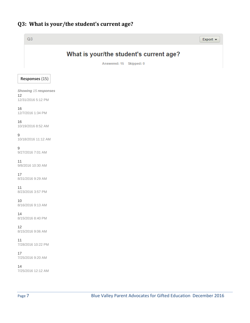# <span id="page-6-0"></span>**Q3: What is your/the student's current age?**

| Q3                                               |                                                                    | Export v |
|--------------------------------------------------|--------------------------------------------------------------------|----------|
|                                                  | What is your/the student's current age?<br>Answered: 15 Skipped: 0 |          |
| Responses (15)                                   |                                                                    |          |
| Showing 15 responses<br>12<br>12/31/2016 5:12 PM |                                                                    |          |
| 16<br>12/7/2016 1:34 PM                          |                                                                    |          |
| 16<br>10/19/2016 8:52 AM                         |                                                                    |          |
| 9<br>10/18/2016 11:12 AM                         |                                                                    |          |
| $\boldsymbol{9}$<br>9/27/2016 7:01 AM            |                                                                    |          |
| 11<br>9/8/2016 10:30 AM                          |                                                                    |          |
| 17<br>8/31/2016 9:29 AM                          |                                                                    |          |
| 11<br>8/23/2016 3:57 PM                          |                                                                    |          |
| 10<br>8/16/2016 9:13 AM                          |                                                                    |          |
| 14<br>8/15/2016 8:40 PM                          |                                                                    |          |
| 12<br>8/15/2016 9:06 AM                          |                                                                    |          |
| 11<br>7/28/2016 10:22 PM                         |                                                                    |          |
| 17<br>7/25/2016 9:20 AM                          |                                                                    |          |
| 14<br>7/25/2016 12:12 AM                         |                                                                    |          |
|                                                  |                                                                    |          |
| Page 7                                           | Blue Valley Parent Advocates for Gifted Education December 2016    |          |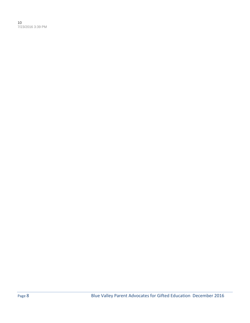10 7/23/2016 3:39 PM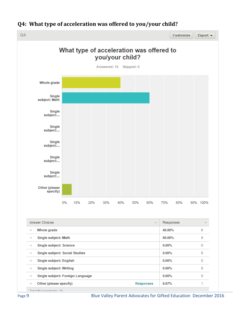

# <span id="page-8-0"></span>**Q4: What type of acceleration was offered to you/your child?**

Page 9 Blue Valley Parent Advocates for Gifted Education December 2016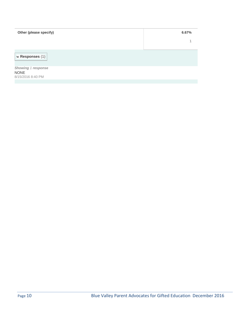| Other (please specify)                                 | 6.67% |
|--------------------------------------------------------|-------|
|                                                        |       |
| w Responses (1)                                        |       |
| Showing 1 response<br><b>NONE</b><br>8/15/2016 8:40 PM |       |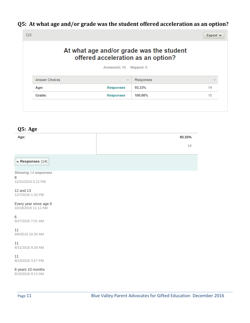# <span id="page-10-0"></span>**Q5: At what age and/or grade was the student offered acceleration as an option?**

|                | offered acceleration as an option? | At what age and/or grade was the student |    |
|----------------|------------------------------------|------------------------------------------|----|
|                | Answered: 15                       | Skipped: 0                               |    |
| Answer Choices | $\overline{\phantom{a}}$           | Responses                                | ÷  |
| Age:           | <b>Responses</b>                   | 93.33%                                   | 14 |
| Grade:         | <b>Responses</b>                   | 100.00%                                  | 15 |

<span id="page-10-1"></span>

| Q5: Age                                         |        |
|-------------------------------------------------|--------|
| Age:                                            | 93.33% |
|                                                 | 14     |
| w Responses (14)                                |        |
| Showing 14 responses<br>8<br>12/31/2016 5:12 PM |        |
| 12 and 13<br>12/7/2016 1:34 PM                  |        |
| Every year since age 6<br>10/18/2016 11:12 AM   |        |
| 6<br>9/27/2016 7:01 AM                          |        |
| 11<br>9/8/2016 10:30 AM                         |        |
| 11<br>8/31/2016 9:29 AM                         |        |
| 11<br>8/23/2016 3:57 PM                         |        |
| 8 years 10 months                               |        |

8/16/2016 9:13 AM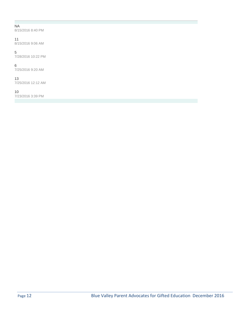#### NA

8/15/2016 8:40 PM

#### 11

8/15/2016 9:06 AM

#### 5

7/28/2016 10:22 PM

#### 6

7/25/2016 9:20 AM

#### 13

7/25/2016 12:12 AM

#### 10

7/23/2016 3:39 PM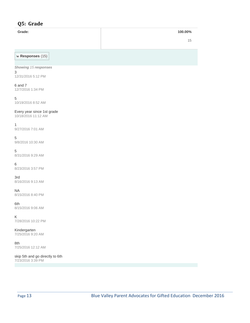## <span id="page-12-0"></span>**Q5: Grade**

#### **Grade: 100.00%**

15

**w Responses** (15)

*Showing 15 responses* 3 12/31/2016 5:12 PM

6 and 7 12/7/2016 1:34 PM

5 10/19/2016 8:52 AM

Every year since 1st grade 10/18/2016 11:12 AM

1 9/27/2016 7:01 AM

5 9/8/2016 10:30 AM

5 8/31/2016 9:29 AM

6 8/23/2016 3:57 PM

3rd 8/16/2016 9:13 AM

NA 8/15/2016 8:40 PM

6th 8/15/2016 9:06 AM

K 7/28/2016 10:22 PM

Kindergarten 7/25/2016 9:20 AM

8th 7/25/2016 12:12 AM

skip 5th and go directly to 6th 7/23/2016 3:39 PM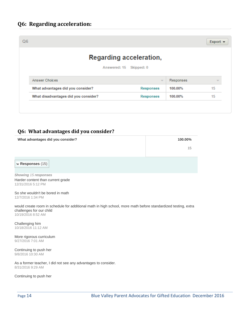<span id="page-13-0"></span>

| Q <sub>6</sub>                    |                                      |                                |           | Export $\blacktriangleright$ |
|-----------------------------------|--------------------------------------|--------------------------------|-----------|------------------------------|
|                                   |                                      | <b>Regarding acceleration,</b> |           |                              |
| Answered: 15 Skipped: 0           |                                      |                                |           |                              |
| Answer Choices                    |                                      | $\overline{\mathcal{M}}$       | Responses | v                            |
| What advantages did you consider? |                                      | Responses                      | 100.00%   | 15                           |
|                                   | What disadvantages did you consider? | <b>Responses</b>               | 100.00%   | 15                           |

### <span id="page-13-1"></span>**Q6: What advantages did you consider?**

| What advantages did you consider? | 100.00% |
|-----------------------------------|---------|
|                                   | 15      |

**w Responses** (15)

*Showing 15 responses* Harder content than current grade 12/31/2016 5:12 PM

So she wouldn't be bored in math 12/7/2016 1:34 PM

would create room in schedule for additional math in high school, more math before standardized testing, extra challenges for our child 10/19/2016 8:52 AM

Challenging him 10/18/2016 11:12 AM

More rigorous curriculum 9/27/2016 7:01 AM

Continuing to push her 9/8/2016 10:30 AM

As a former teacher, I did not see any advantages to consider. 8/31/2016 9:29 AM

Continuing to push her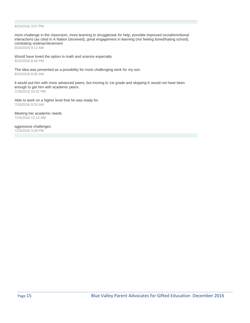#### 8/23/2016 3:57 PM

more challenge in the classroom, more learning to struggle/ask for help, possible improved social/emotional interactions (as cited in A Nation Deceived), great engagement in learning (not feeling bored/hating school), combating underachievement 8/16/2016 9:13 AM

Would have loved the option in math and science especially 8/15/2016 8:40 PM

The idea was presented as a possibility for more challenging work for my son. 8/15/2016 9:06 AM

It would put him with more advanced peers, but moving to 1st grade and skipping K would not have been enough to get him with academic peers. 7/28/2016 10:22 PM

Able to work on a higher level that he was ready for. 7/25/2016 9:20 AM

Meeting her academic needs 7/25/2016 12:12 AM

aggressive challenges 7/23/2016 3:39 PM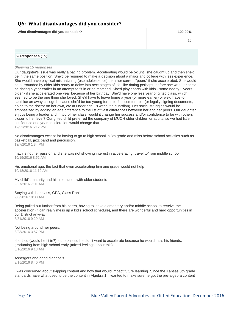### <span id="page-15-0"></span>**Q6: What disadvantages did you consider?**

**What disadvantages did you consider? 100.00%**

15

**w Responses** (15)

#### *Showing 15 responses*

Our daughter's issue was really a pacing problem. Accelerating would be ok until she caught up and then she'd be in the same position. She'd be required to make a decision about a major and college with less experience. She would have physical mismatching (esp adolescence) than her current "peers" if she accelerated. She would be surrounded by older kids ready to delve into next stages of life, like dating perhaps, before she was...or she'd be dating a year earlier in an attempt to fit in or be matched. She'd play sports with kids - some nearly 2 years older - if she accelerated one year because of her birthday. She'd have one less year of gifted class, which seemed to be the one thing she loved. She'd have to leave home a year (or more earlier) or we'd have to sacrifice an away college because she'd be too young for us to feel comfortable (or legally signing documents, going to the doctor on her own, etc at under age 18 without a guardian). Her social struggles would be emphasized by adding an age difference to the list of vast differences between her and her peers. Our daughter enjoys being a leader and in top of her class; would it change her success and/or confidence to be with others closer to her level? Our gifted child preferred the company of MUCH older children or adults, so we had little confidence one year acceleration would change that. 12/31/2016 5:12 PM

No disadvantages except for having to go to high school in 8th grade and miss before school activities such as basketball, jazz band and percussion. 12/7/2016 1:34 PM

math is not her passion and she was not showing interest in accelerating, travel to/from middle school 10/19/2016 8:52 AM

His emotional age, the fact that even accelerating him one grade would not help 10/18/2016 11:12 AM

My child's maturity and his interaction with older students 9/27/2016 7:01 AM

Staying with her class, GPA, Class Rank 9/8/2016 10:30 AM

Being pulled out further from his peers, having to leave elementary and/or middle school to receive the acceleration (it can really mess up a kid's school schedule), and there are wonderful and hard opportunities in our District anyway. 8/31/2016 9:29 AM

Not being around her peers. 8/23/2016 3:57 PM

short kid (would he fit in?), our son said he didn't want to accelerate because he would miss his friends, graduating from high school early (mixed feelings about this) 8/16/2016 9:13 AM

Aspergers and adhd diagnosis 8/15/2016 8:40 PM

I was concerned about skipping content and how that would impact future learning. Since the Kansas 8th grade standards have what used to be the content in Algebra 1, I wanted to make sure he got the pre-algebra content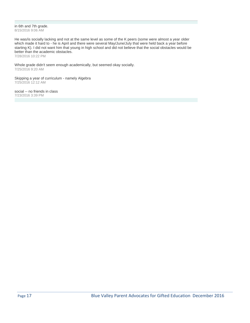in 6th and 7th grade. 8/15/2016 9:06 AM

He was/is socially lacking and not at the same level as some of the K peers (some were almost a year older which made it hard to - he is April and there were several May/June/July that were held back a year before starting K). I did not want him that young in high school and did not believe that the social obstacles would be better than the academic obstacles.

7/28/2016 10:22 PM

Whole grade didn't seem enough academically, but seemed okay socially. 7/25/2016 9:20 AM

Skipping a year of curriculum - namely Algebra 7/25/2016 12:12 AM

social -- no friends in class 7/23/2016 3:39 PM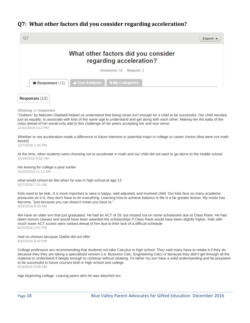# <span id="page-17-0"></span>**Q7: What other factors did you consider regarding acceleration?**

|                                                                | Export $\blacktriangleright$ |
|----------------------------------------------------------------|------------------------------|
| What other factors did you consider<br>regarding acceleration? |                              |
| Answered: 12 Skipped: 3                                        |                              |
| Text Analysis Wy Categories<br>$\bullet$ Responses (12)        |                              |

*Showing 12 responses*

**Responses** (12)

"Outliers" by Malcolm Gladwell helped us understand that being smart isn't enough for a child to be successful. Our child needed, just as equally, to associate with kids of the same age to understand and get along with each other. Making her the baby of the class ahead of her would only add to this challenge of her peers accepting her and vice versa. 12/31/2016 5:12 PM

Whether or not acceleration made a difference in future interests or potential major in college or career choice (that were not math based)

12/7/2016 1:34 PM

At the time, other students were choosing not to accelerate in math and our child did not want to go alone to the middle school 10/19/2016 8:52 AM

His leaving for college a year earlier 10/18/2016 11:12 AM

what would school be like when he was in high school at age 13 9/27/2016 7:01 AM

Kids need to be kids. It is more important is raise a happy, well-adjusted, and involved child. Our kids face so many academic pressures as it is, they don't have to do everything. Learning how to achieve balance in life is a far greater lesson. My motto has become, "just because you can doesn't mean you have to." 8/31/2016 9:29 AM

We have an older son that just graduated. He had an ACT of 29, but missed out on some scholarshis due to Class Rank. He had taken honors classes and would have been awarded the scholarships if Class Rank would have been slightly higher. Kids with much lower ACT scores were ranked ahead of him due to their lack of a difficult schedule 8/23/2016 3:57 PM

Had no choices because Olathe did not offer 8/15/2016 8:40 PM

College professors are recommending that students not take Calculus in high school. They said many have to retake it if they do because they they are taking a specialized version (i.e. Business Calc, Engineering Calc) or because they didn't get through all the material or understand it deeply enough to continue without retaking. I'd rather my son have a solid understanding and be prepared to be successful in future courses both in high school and college. 8/15/2016 9:06 AM

Age beginning college. Leaving peers who he was attached too.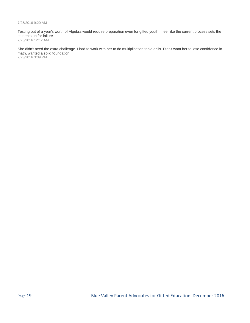#### 7/25/2016 9:20 AM

Testing out of a year's worth of Algebra would require preparation even for gifted youth. I feel like the current process sets the students up for failure.

7/25/2016 12:12 AM

She didn't need the extra challenge. I had to work with her to do multiplication table drills. Didn't want her to lose confidence in math, wanted a solid foundation. 7/23/2016 3:39 PM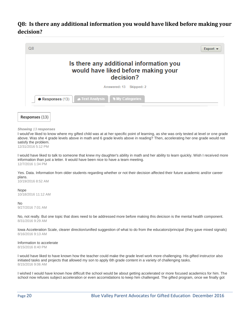# <span id="page-19-0"></span>**Q8: Is there any additional information you would have liked before making your decision?**





#### *Showing 13 responses*

I would've liked to know where my gifted child was at at her specific point of learning, as she was only tested at level or one grade above. Was she 4 grade levels above in math and 6 grade levels above in reading? Then, accelerating her one grade would not satisfy the problem.

12/31/2016 5:12 PM

I would have liked to talk to someone that knew my daughter's ability in math and her ability to learn quickly. Wish I received more information than just a letter. It would have been nice to have a team meeting. 12/7/2016 1:34 PM

Yes. Data. Information from older students regarding whether or not their decision affected their future academic and/or career plans.

10/19/2016 8:52 AM

Nope

10/18/2016 11:12 AM

#### No

9/27/2016 7:01 AM

No, not really. But one topic that does need to be addressed more before making this deicison is the mental health component. 8/31/2016 9:29 AM

Iowa Acceleration Scale, clearer direction/unified suggestion of what to do from the educators/principal (they gave mixed signals) 8/16/2016 9:13 AM

Information to accelerate 8/15/2016 8:40 PM

I would have liked to have known how the teacher could make the grade level work more challenging. His gifted instructor also initiated tasks and projects that allowed my son to apply 6th grade content in a variety of challenging tasks. 8/15/2016 9:06 AM

I wished I would have known how difficult the school would be about getting accelerated or more focused academics for him. The school now refuses subject acceleration or even accomidations to keep him challenged. The gifted program, once we finally got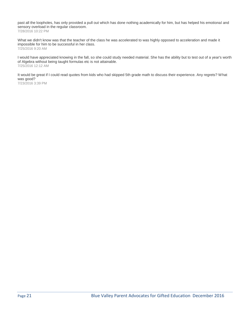past all the loopholes, has only provided a pull out which has done nothing academically for him, but has helped his emotional and sensory overload in the regular classroom. 7/28/2016 10:22 PM

What we didn't know was that the teacher of the class he was accelerated to was highly opposed to acceleration and made it impossible for him to be successful in her class. 7/25/2016 9:20 AM

I would have appreciated knowing in the fall, so she could study needed material. She has the ability but to test out of a year's worth of Algebra without being taught formulas etc is not attainable. 7/25/2016 12:12 AM

It would be great if I could read quotes from kids who had skipped 5th grade math to discuss their experience. Any regrets? What was good?

7/23/2016 3:39 PM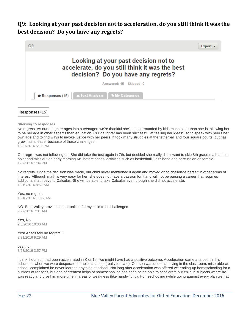# <span id="page-21-0"></span>**Q9: Looking at your past decision not to acceleration, do you still think it was the best decision? Do you have any regrets?**





*Showing 15 responses*

No regrets. As our daughter ages into a teenager, we're thankful she's not surrounded by kids much older than she is, allowing her to be her age in other aspects than education. Our daughter has been successful at "selling her ideas", so to speak with peers her own age and to find ways to invoke justice with her peers. It took many struggles at the tetherball and four square courts, but has grown as a leader because of those challenges.

12/31/2016 5:12 PM

Our regret was not following up. She did take the test again in 7th, but decided she really didn't want to skip 8th grade math at that point and miss out on early morning MS before school activities such as basketball, Jazz band and percussion ensemble. 12/7/2016 1:34 PM

No regrets. Once the decision was made, our child never mentioned it again and moved on to challenge herself in other areas of interest. Although math is very easy for her, she does not have a passion for it and will not be pursing a career that requires additional math beyond Calculus. She will be able to take Calculus even though she did not accelerate. 10/19/2016 8:52 AM

Yes, no regrets 10/18/2016 11:12 AM

NO. Blue Valley provides opportunities for my child to be challenged 9/27/2016 7:01 AM

Yes, No 9/8/2016 10:30 AM

Yes! Absolutely no regrets!!! 8/31/2016 9:29 AM

yes, no. 8/23/2016 3:57 PM

I think if our son had been accelerated in K or 1st, we might have had a positive outcome. Acceleration came at a point in his education when we were desperate for help at school (really too late). Our son was underachieving in the classroom, miserable at school, complained he never learned anything at school. Not long after acceleration was offered we ending up homeschooling for a number of reasons, but one of greatest helps of homeschooling has been being able to accelerate our child in subjects where he was ready and give him more time in areas of weakness (like handwriting). Homeschooling (while going against every plan we had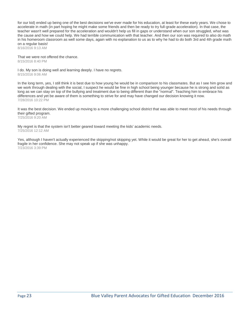for our kid) ended up being one of the best decisions we've ever made for his education, at least for these early years. We chose to accelerate in math (in part hoping he might make some friends and then be ready to try full-grade acceleration). In that case, the teacher wasn't well prepared for the acceleration and wouldn't help us fill in gaps or understand when our son struggled, what was the cause and how we could help. We had terrible communication with that teacher. And then our son was required to also do math in his homeroom classroom as well some days, again with no explanation to us as to why he had to do both 3rd and 4th grade math on a regular basis!

8/16/2016 9:13 AM

That we were not offered the chance. 8/15/2016 8:40 PM

I do. My son is doing well and learning deeply. I have no regrets. 8/15/2016 9:06 AM

In the long term, yes, I still think it is best due to how young he would be in comparison to his classmates. But as I see him grow and we work through dealing with the social, I suspect he would be fine in high school being younger because he is strong and solid as long as we can stay on top of the bullying and treatment due to being different than the "normal". Teaching him to embrace his differences and yet be aware of them is something to strive for and may have changed our decision knowing it now. 7/28/2016 10:22 PM

It was the best decision. We ended up moving to a more challenging school district that was able to meet most of his needs through their gifted program.

7/25/2016 9:20 AM

My regret is that the system isn't better geared toward meeting the kids' academic needs. 7/25/2016 12:12 AM

Yes, although I haven't actually experienced the skipping/not skipping yet. While it would be great for her to get ahead, she's overall fragile in her confidence. She may not speak up if she was unhappy. 7/23/2016 3:39 PM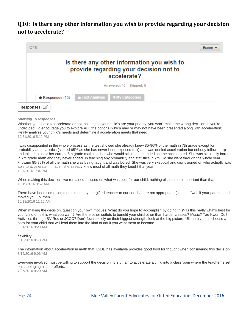# <span id="page-23-0"></span>**Q10: Is there any other information you wish to provide regarding your decision not to accelerate?**



*Showing 10 responses*

Whether you chose to accelerate or not, as long as your child's are your priority, you won't make the wrong decision. If you're undecided, I'd encourage you to explore ALL the options (which may or may not have been presented along with acceleration). Really analyze your child's needs and determine if acceleration meets that need. 12/31/2016 5:12 PM

I was disappointed in the whole process as the test showed she already knew 85-90% of the math in 7th grade except for probability and statistics (scored 65% as she has never been exposed to it) and was denied acceleration but nobody followed up and talked to us or her current 6th grade math teacher who would still recommended she be accelerated. She was still really bored in 7th grade math and they never ended up teaching any probability and statistics in 7th. So she went through the whole year knowing 85-90% of all the math she was being taught and was bored. She was very skeptical and disillusioned on who actually was able to accelerate in math if she already knew most of all math they taught that year. 12/7/2016 1:34 PM

When making this decision, we remained focused on what was best for our child; nothing else is more important than that. 10/19/2016 8:52 AM

There have been some comments made by our gifted teacher to our son that are not appropriate (such as "well if your parents had moved you up, then..." 10/18/2016 11:12 AM

When making the decision, question your own motives. What do you hope to accomplish by doing this? Is this really what's best for your child or is this what you want? Are there other outlets to benefit your child other than harder classes? Music? Tae Kwon Do? Activities through BV Rec or JCCC? Don't focus solely on their biggest strength, look at the big picture. Ultimately, help choose a path for your child that will lead them into the kind of adult you want them to become. 8/31/2016 9:29 AM

#### flexibility 8/15/2016 8:40 PM

The information about acceleration in math that KSDE has available provides good food for thought when considering this decision. 8/15/2016 9:06 AM

Everyone involved must be willing to support the decision. It is unfair to accelerate a child into a classroom where the teacher is set on sabotaging his/her efforts. 7/25/2016 9:20 AM